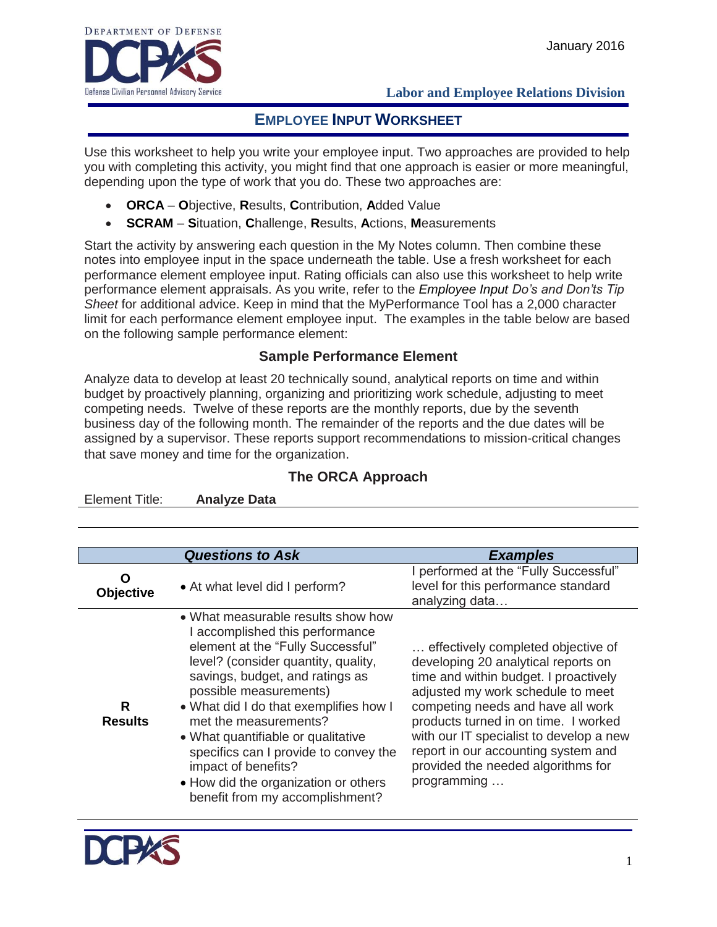

Element Title: **Analyze Data**

### **Labor and Employee Relations Division**

# **EMPLOYEE INPUT WORKSHEET**

Use this worksheet to help you write your employee input. Two approaches are provided to help you with completing this activity, you might find that one approach is easier or more meaningful, depending upon the type of work that you do. These two approaches are:

- **ORCA O**bjective, **R**esults, **C**ontribution, **A**dded Value
- **SCRAM S**ituation, **C**hallenge, **R**esults, **A**ctions, **M**easurements

Start the activity by answering each question in the My Notes column. Then combine these notes into employee input in the space underneath the table. Use a fresh worksheet for each performance element employee input. Rating officials can also use this worksheet to help write performance element appraisals. As you write, refer to the *Employee Input Do's and Don'ts Tip Sheet* for additional advice. Keep in mind that the MyPerformance Tool has a 2,000 character limit for each performance element employee input. The examples in the table below are based on the following sample performance element:

### **Sample Performance Element**

Analyze data to develop at least 20 technically sound, analytical reports on time and within budget by proactively planning, organizing and prioritizing work schedule, adjusting to meet competing needs. Twelve of these reports are the monthly reports, due by the seventh business day of the following month. The remainder of the reports and the due dates will be assigned by a supervisor. These reports support recommendations to mission-critical changes that save money and time for the organization.

### **The ORCA Approach**

| Element Title: | Anaivze Data            |                                       |
|----------------|-------------------------|---------------------------------------|
|                |                         |                                       |
|                |                         |                                       |
|                |                         |                                       |
|                |                         |                                       |
|                | <b>Questions to Ask</b> | <b>Examples</b>                       |
|                |                         | I performed at the "Fully Successful" |
|                |                         |                                       |

| O<br><b>Objective</b> | • At what level did I perform?                                                                                                                                                                                                                                                                                                                                                                                                                                     | I performed at the "Fully Successful"<br>level for this performance standard<br>analyzing data                                                                                                                                                                                                                                                                              |
|-----------------------|--------------------------------------------------------------------------------------------------------------------------------------------------------------------------------------------------------------------------------------------------------------------------------------------------------------------------------------------------------------------------------------------------------------------------------------------------------------------|-----------------------------------------------------------------------------------------------------------------------------------------------------------------------------------------------------------------------------------------------------------------------------------------------------------------------------------------------------------------------------|
| R<br><b>Results</b>   | • What measurable results show how<br>I accomplished this performance<br>element at the "Fully Successful"<br>level? (consider quantity, quality,<br>savings, budget, and ratings as<br>possible measurements)<br>• What did I do that exemplifies how I<br>met the measurements?<br>• What quantifiable or qualitative<br>specifics can I provide to convey the<br>impact of benefits?<br>• How did the organization or others<br>benefit from my accomplishment? | effectively completed objective of<br>developing 20 analytical reports on<br>time and within budget. I proactively<br>adjusted my work schedule to meet<br>competing needs and have all work<br>products turned in on time. I worked<br>with our IT specialist to develop a new<br>report in our accounting system and<br>provided the needed algorithms for<br>programming |

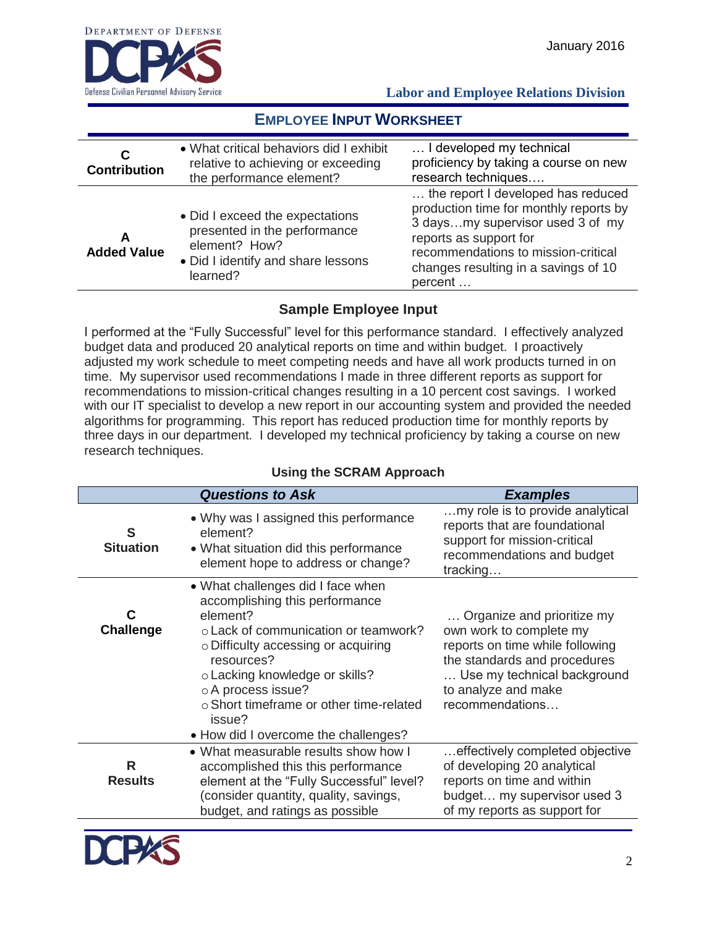

 **Labor and Employee Relations Division**

# **EMPLOYEE INPUT WORKSHEET**

| C<br><b>Contribution</b> | • What critical behaviors did I exhibit<br>relative to achieving or exceeding<br>the performance element?                          | I developed my technical<br>proficiency by taking a course on new<br>research techniques                                                                                                                                             |
|--------------------------|------------------------------------------------------------------------------------------------------------------------------------|--------------------------------------------------------------------------------------------------------------------------------------------------------------------------------------------------------------------------------------|
| A<br><b>Added Value</b>  | • Did I exceed the expectations<br>presented in the performance<br>element? How?<br>• Did I identify and share lessons<br>learned? | the report I developed has reduced<br>production time for monthly reports by<br>3 daysmy supervisor used 3 of my<br>reports as support for<br>recommendations to mission-critical<br>changes resulting in a savings of 10<br>percent |

### **Sample Employee Input**

I performed at the "Fully Successful" level for this performance standard. I effectively analyzed budget data and produced 20 analytical reports on time and within budget. I proactively adjusted my work schedule to meet competing needs and have all work products turned in on time. My supervisor used recommendations I made in three different reports as support for recommendations to mission-critical changes resulting in a 10 percent cost savings. I worked with our IT specialist to develop a new report in our accounting system and provided the needed algorithms for programming. This report has reduced production time for monthly reports by three days in our department. I developed my technical proficiency by taking a course on new research techniques.

|                       | <b>Questions to Ask</b>                                                                                                                                                                                                                                                                                                           | <b>Examples</b>                                                                                                                                                                                   |
|-----------------------|-----------------------------------------------------------------------------------------------------------------------------------------------------------------------------------------------------------------------------------------------------------------------------------------------------------------------------------|---------------------------------------------------------------------------------------------------------------------------------------------------------------------------------------------------|
| S<br><b>Situation</b> | • Why was I assigned this performance<br>element?<br>• What situation did this performance<br>element hope to address or change?                                                                                                                                                                                                  | my role is to provide analytical<br>reports that are foundational<br>support for mission-critical<br>recommendations and budget<br>tracking                                                       |
| С<br><b>Challenge</b> | • What challenges did I face when<br>accomplishing this performance<br>element?<br>o Lack of communication or teamwork?<br>o Difficulty accessing or acquiring<br>resources?<br>o Lacking knowledge or skills?<br>o A process issue?<br>o Short timeframe or other time-related<br>issue?<br>• How did I overcome the challenges? | Organize and prioritize my<br>own work to complete my<br>reports on time while following<br>the standards and procedures<br>Use my technical background<br>to analyze and make<br>recommendations |
| R<br><b>Results</b>   | • What measurable results show how I<br>accomplished this this performance<br>element at the "Fully Successful" level?<br>(consider quantity, quality, savings,<br>budget, and ratings as possible                                                                                                                                | effectively completed objective<br>of developing 20 analytical<br>reports on time and within<br>budget my supervisor used 3<br>of my reports as support for                                       |

# **Using the SCRAM Approach**

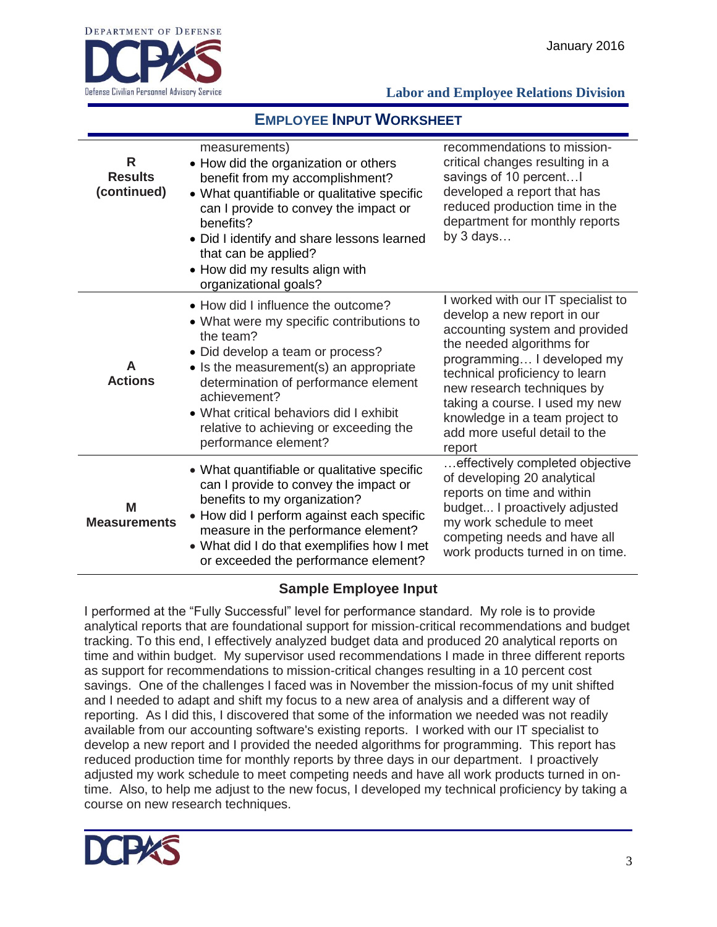

#### **Labor and Employee Relations Division**

# **EMPLOYEE INPUT WORKSHEET**

| R<br><b>Results</b><br>(continued) | measurements)<br>• How did the organization or others<br>benefit from my accomplishment?<br>• What quantifiable or qualitative specific<br>can I provide to convey the impact or<br>benefits?<br>• Did I identify and share lessons learned<br>that can be applied?<br>• How did my results align with<br>organizational goals?                        | recommendations to mission-<br>critical changes resulting in a<br>savings of 10 percent<br>developed a report that has<br>reduced production time in the<br>department for monthly reports<br>by $3$ days                                                                                                                                     |
|------------------------------------|--------------------------------------------------------------------------------------------------------------------------------------------------------------------------------------------------------------------------------------------------------------------------------------------------------------------------------------------------------|-----------------------------------------------------------------------------------------------------------------------------------------------------------------------------------------------------------------------------------------------------------------------------------------------------------------------------------------------|
| A<br><b>Actions</b>                | • How did I influence the outcome?<br>• What were my specific contributions to<br>the team?<br>• Did develop a team or process?<br>$\bullet$ Is the measurement(s) an appropriate<br>determination of performance element<br>achievement?<br>• What critical behaviors did I exhibit<br>relative to achieving or exceeding the<br>performance element? | I worked with our IT specialist to<br>develop a new report in our<br>accounting system and provided<br>the needed algorithms for<br>programming I developed my<br>technical proficiency to learn<br>new research techniques by<br>taking a course. I used my new<br>knowledge in a team project to<br>add more useful detail to the<br>report |
| M<br><b>Measurements</b>           | • What quantifiable or qualitative specific<br>can I provide to convey the impact or<br>benefits to my organization?<br>• How did I perform against each specific<br>measure in the performance element?<br>• What did I do that exemplifies how I met<br>or exceeded the performance element?                                                         | effectively completed objective<br>of developing 20 analytical<br>reports on time and within<br>budget I proactively adjusted<br>my work schedule to meet<br>competing needs and have all<br>work products turned in on time.                                                                                                                 |

#### **Sample Employee Input**

I performed at the "Fully Successful" level for performance standard. My role is to provide analytical reports that are foundational support for mission-critical recommendations and budget tracking. To this end, I effectively analyzed budget data and produced 20 analytical reports on time and within budget. My supervisor used recommendations I made in three different reports as support for recommendations to mission-critical changes resulting in a 10 percent cost savings. One of the challenges I faced was in November the mission-focus of my unit shifted and I needed to adapt and shift my focus to a new area of analysis and a different way of reporting. As I did this, I discovered that some of the information we needed was not readily available from our accounting software's existing reports. I worked with our IT specialist to develop a new report and I provided the needed algorithms for programming. This report has reduced production time for monthly reports by three days in our department. I proactively adjusted my work schedule to meet competing needs and have all work products turned in ontime. Also, to help me adjust to the new focus, I developed my technical proficiency by taking a course on new research techniques.